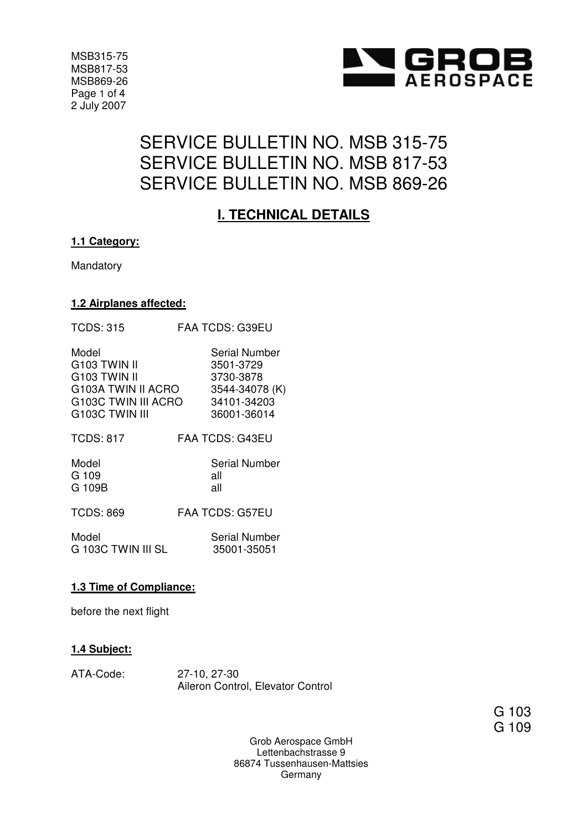

MSB315-75 MSB817-53 MSB869-26 Page 1 of 4 2 July 2007

# SERVICE BULLETIN NO. MSB 315-75 SERVICE BULLETIN NO. MSB 817-53 SERVICE BULLETIN NO. MSB 869-26

## **I. TECHNICAL DETAILS**

#### **1.1 Category:**

Mandatory

#### **1.2 Airplanes affected:**

| <b>TCDS: 315</b>         | <b>FAA TCDS: G39EU</b> |
|--------------------------|------------------------|
| Model                    | Serial Number          |
| G <sub>103</sub> TWIN II | 3501-3729              |
| G103 TWIN II             | 3730-3878              |
| G103A TWIN II ACRO       | 3544-34078 (K)         |
| G103C TWIN III ACRO      | 34101-34203            |
| G103C TWIN III           | 36001-36014            |
| <b>TCDS: 817</b>         | FAA TCDS: G43EU        |
| Model                    | Serial Number          |
| G 109                    | all                    |
| G 109B                   | all                    |
| <b>TCDS: 869</b>         | <b>FAA TCDS: G57EU</b> |
| Model                    | <b>Serial Number</b>   |
| G 103C TWIN III SL       | 35001-35051            |

#### **1.3 Time of Compliance:**

before the next flight

#### **1.4 Subject:**

| ATA-Code: | 27-10, 27-30                      |
|-----------|-----------------------------------|
|           | Aileron Control, Elevator Control |

G 103 G 109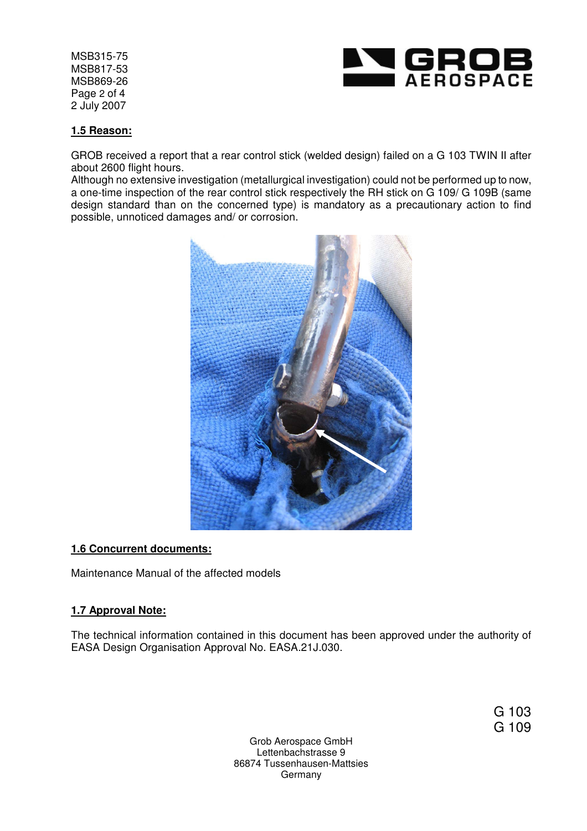MSB315-75 MSB817-53 MSB869-26 Page 2 of 4 2 July 2007



#### **1.5 Reason:**

GROB received a report that a rear control stick (welded design) failed on a G 103 TWIN II after about 2600 flight hours.

Although no extensive investigation (metallurgical investigation) could not be performed up to now, a one-time inspection of the rear control stick respectively the RH stick on G 109/ G 109B (same design standard than on the concerned type) is mandatory as a precautionary action to find possible, unnoticed damages and/ or corrosion.



#### **1.6 Concurrent documents:**

Maintenance Manual of the affected models

#### **1.7 Approval Note:**

The technical information contained in this document has been approved under the authority of EASA Design Organisation Approval No. EASA.21J.030.

> G 103 G 109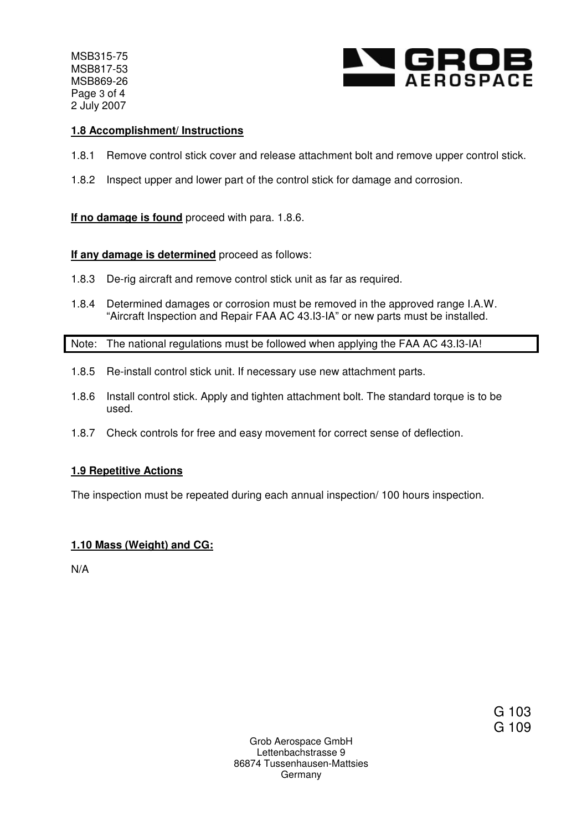MSB315-75 MSB817-53 MSB869-26 Page 3 of 4 2 July 2007



#### **1.8 Accomplishment/ Instructions**

- 1.8.1 Remove control stick cover and release attachment bolt and remove upper control stick.
- 1.8.2 Inspect upper and lower part of the control stick for damage and corrosion.

**If no damage is found** proceed with para. 1.8.6.

#### **If any damage is determined** proceed as follows:

- 1.8.3 De-rig aircraft and remove control stick unit as far as required.
- 1.8.4 Determined damages or corrosion must be removed in the approved range I.A.W. "Aircraft Inspection and Repair FAA AC 43.I3-IA" or new parts must be installed.

Note: The national regulations must be followed when applying the FAA AC 43.I3-IA!

- 1.8.5 Re-install control stick unit. If necessary use new attachment parts.
- 1.8.6 Install control stick. Apply and tighten attachment bolt. The standard torque is to be used.
- 1.8.7 Check controls for free and easy movement for correct sense of deflection.

#### **1.9 Repetitive Actions**

The inspection must be repeated during each annual inspection/ 100 hours inspection.

#### **1.10 Mass (Weight) and CG:**

N/A

G 103 G 109